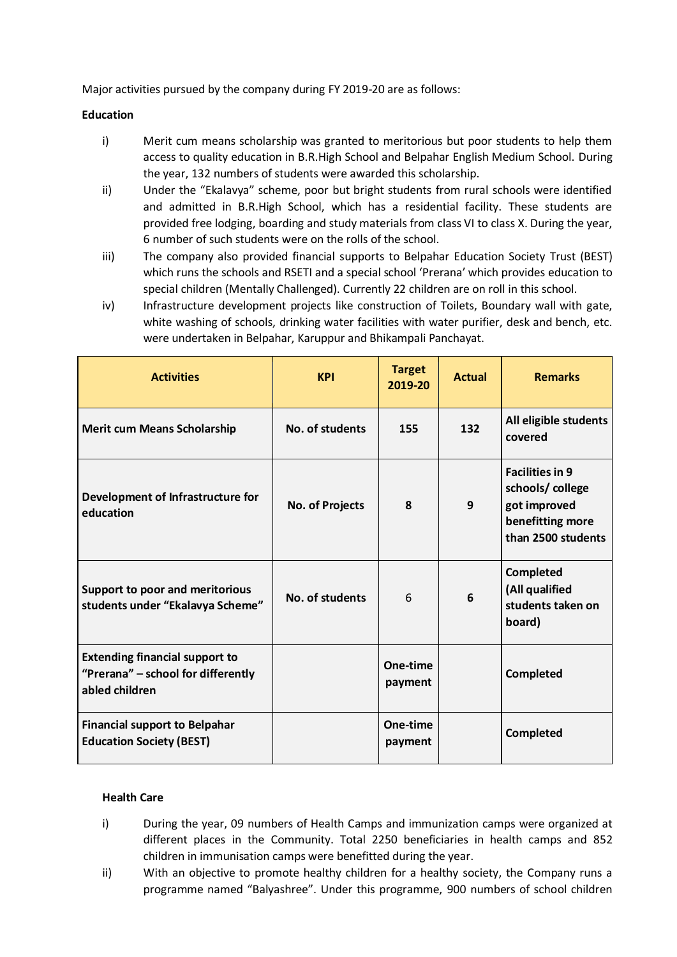Major activities pursued by the company during FY 2019-20 are as follows:

### **Education**

- i) Merit cum means scholarship was granted to meritorious but poor students to help them access to quality education in B.R.High School and Belpahar English Medium School. During the year, 132 numbers of students were awarded this scholarship.
- ii) Under the "Ekalavya" scheme, poor but bright students from rural schools were identified and admitted in B.R.High School, which has a residential facility. These students are provided free lodging, boarding and study materials from class VI to class X. During the year, 6 number of such students were on the rolls of the school.
- iii) The company also provided financial supports to Belpahar Education Society Trust (BEST) which runs the schools and RSETI and a special school 'Prerana' which provides education to special children (Mentally Challenged). Currently 22 children are on roll in this school.
- iv) Infrastructure development projects like construction of Toilets, Boundary wall with gate, white washing of schools, drinking water facilities with water purifier, desk and bench, etc. were undertaken in Belpahar, Karuppur and Bhikampali Panchayat.

| <b>Activities</b>                                                                             | <b>KPI</b>             | <b>Target</b><br>2019-20 | <b>Actual</b> | <b>Remarks</b>                                                                                      |
|-----------------------------------------------------------------------------------------------|------------------------|--------------------------|---------------|-----------------------------------------------------------------------------------------------------|
| <b>Merit cum Means Scholarship</b>                                                            | No. of students        | 155                      | 132           | All eligible students<br>covered                                                                    |
| Development of Infrastructure for<br>education                                                | <b>No. of Projects</b> | 8                        | 9             | <b>Facilities in 9</b><br>schools/college<br>got improved<br>benefitting more<br>than 2500 students |
| Support to poor and meritorious<br>students under "Ekalavya Scheme"                           | No. of students        | 6                        | 6             | <b>Completed</b><br>(All qualified<br>students taken on<br>board)                                   |
| <b>Extending financial support to</b><br>"Prerana" - school for differently<br>abled children |                        | One-time<br>payment      |               | <b>Completed</b>                                                                                    |
| <b>Financial support to Belpahar</b><br><b>Education Society (BEST)</b>                       |                        | One-time<br>payment      |               | Completed                                                                                           |

# **Health Care**

- i) During the year, 09 numbers of Health Camps and immunization camps were organized at different places in the Community. Total 2250 beneficiaries in health camps and 852 children in immunisation camps were benefitted during the year.
- ii) With an objective to promote healthy children for a healthy society, the Company runs a programme named "Balyashree". Under this programme, 900 numbers of school children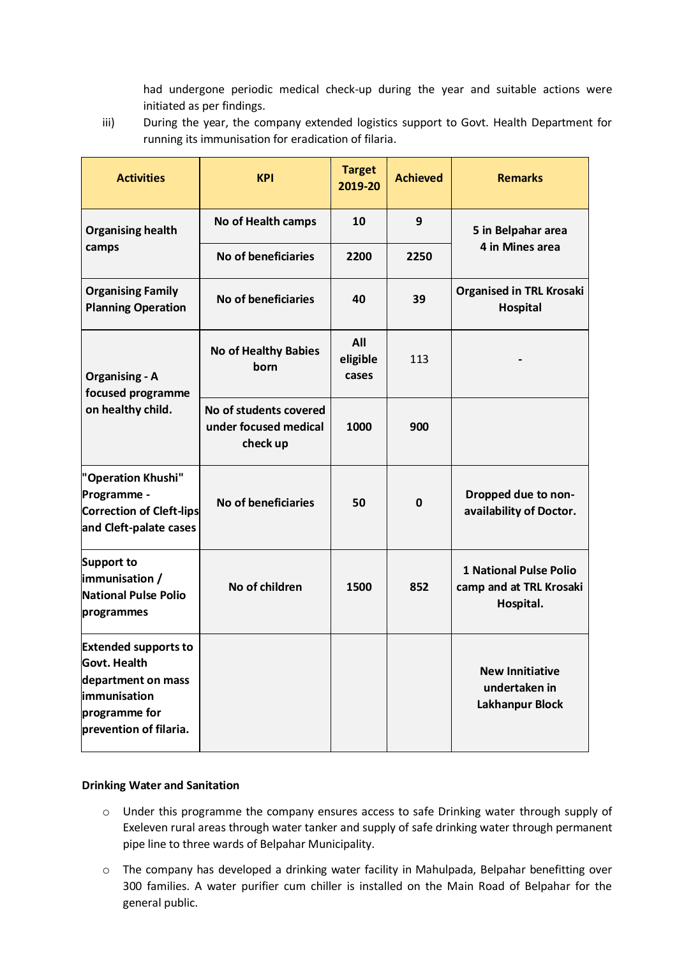had undergone periodic medical check-up during the year and suitable actions were initiated as per findings.

iii) During the year, the company extended logistics support to Govt. Health Department for running its immunisation for eradication of filaria.

| <b>Activities</b>                                                                                                            | <b>KPI</b>                                                  | <b>Target</b><br>2019-20 | <b>Achieved</b> | <b>Remarks</b>                                                        |  |
|------------------------------------------------------------------------------------------------------------------------------|-------------------------------------------------------------|--------------------------|-----------------|-----------------------------------------------------------------------|--|
| <b>Organising health</b>                                                                                                     | No of Health camps                                          | 10                       | 9               | 5 in Belpahar area                                                    |  |
| camps                                                                                                                        | No of beneficiaries                                         | 2250<br>2200             |                 | 4 in Mines area                                                       |  |
| <b>Organising Family</b><br><b>Planning Operation</b>                                                                        | No of beneficiaries                                         |                          | 39              | <b>Organised in TRL Krosaki</b><br><b>Hospital</b>                    |  |
| <b>Organising - A</b><br>focused programme                                                                                   | <b>No of Healthy Babies</b><br>born                         | All<br>eligible<br>cases | 113             |                                                                       |  |
| on healthy child.                                                                                                            | No of students covered<br>under focused medical<br>check up | 1000                     | 900             |                                                                       |  |
| "Operation Khushi"<br>Programme -<br>Correction of Cleft-lips<br>and Cleft-palate cases                                      | No of beneficiaries                                         | 50                       | $\Omega$        | Dropped due to non-<br>availability of Doctor.                        |  |
| Support to<br>immunisation /<br>No of children<br><b>National Pulse Polio</b><br>programmes                                  |                                                             | 1500                     | 852             | <b>1 National Pulse Polio</b><br>camp and at TRL Krosaki<br>Hospital. |  |
| <b>Extended supports to</b><br>Govt. Health<br>department on mass<br>immunisation<br>programme for<br>prevention of filaria. |                                                             |                          |                 | <b>New Innitiative</b><br>undertaken in<br><b>Lakhanpur Block</b>     |  |

#### **Drinking Water and Sanitation**

- o Under this programme the company ensures access to safe Drinking water through supply of Exeleven rural areas through water tanker and supply of safe drinking water through permanent pipe line to three wards of Belpahar Municipality.
- o The company has developed a drinking water facility in Mahulpada, Belpahar benefitting over 300 families. A water purifier cum chiller is installed on the Main Road of Belpahar for the general public.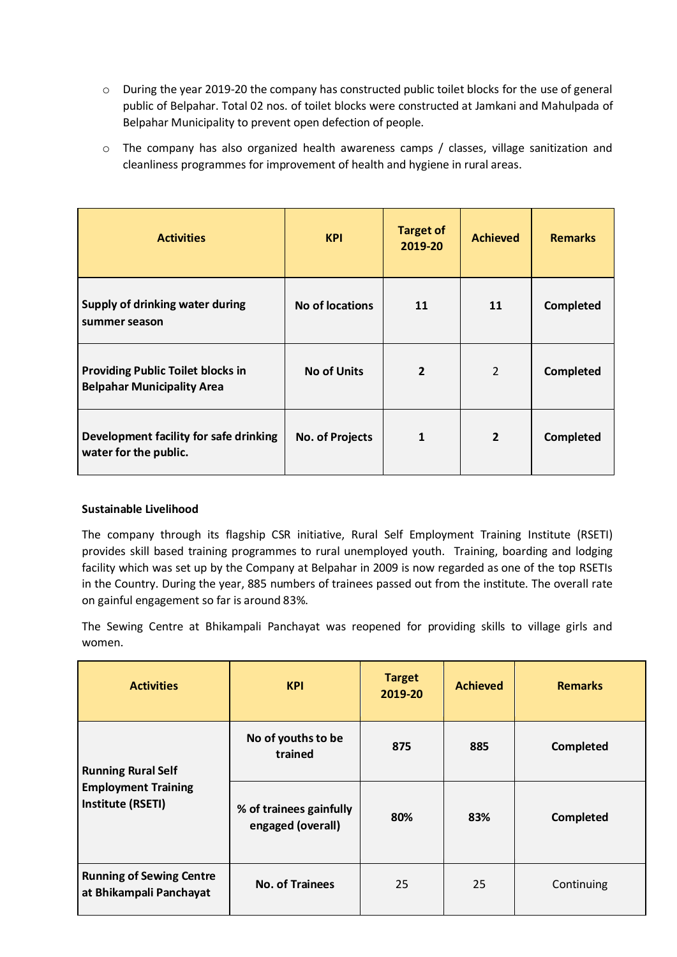- o During the year 2019-20 the company has constructed public toilet blocks for the use of general public of Belpahar. Total 02 nos. of toilet blocks were constructed at Jamkani and Mahulpada of Belpahar Municipality to prevent open defection of people.
- o The company has also organized health awareness camps / classes, village sanitization and cleanliness programmes for improvement of health and hygiene in rural areas.

| <b>Activities</b>                                                             | <b>KPI</b>             | <b>Target of</b><br>2019-20 | <b>Achieved</b> | <b>Remarks</b>   |
|-------------------------------------------------------------------------------|------------------------|-----------------------------|-----------------|------------------|
| Supply of drinking water during<br>summer season                              | No of locations        | 11                          | 11              | <b>Completed</b> |
| <b>Providing Public Toilet blocks in</b><br><b>Belpahar Municipality Area</b> | <b>No of Units</b>     | $\overline{2}$              | 2               | <b>Completed</b> |
| Development facility for safe drinking<br>water for the public.               | <b>No. of Projects</b> | 1                           | $\overline{2}$  | <b>Completed</b> |

# **Sustainable Livelihood**

The company through its flagship CSR initiative, Rural Self Employment Training Institute (RSETI) provides skill based training programmes to rural unemployed youth. Training, boarding and lodging facility which was set up by the Company at Belpahar in 2009 is now regarded as one of the top RSETIs in the Country. During the year, 885 numbers of trainees passed out from the institute. The overall rate on gainful engagement so far is around 83%.

The Sewing Centre at Bhikampali Panchayat was reopened for providing skills to village girls and women.

| <b>Activities</b>                                          | <b>KPI</b>                                   | <b>Target</b><br>2019-20 | <b>Achieved</b> | <b>Remarks</b>   |
|------------------------------------------------------------|----------------------------------------------|--------------------------|-----------------|------------------|
| <b>Running Rural Self</b>                                  | No of youths to be<br>trained                | 875                      | 885             | <b>Completed</b> |
| <b>Employment Training</b><br>Institute (RSETI)            | % of trainees gainfully<br>engaged (overall) | 80%                      | 83%             | <b>Completed</b> |
| <b>Running of Sewing Centre</b><br>at Bhikampali Panchayat | <b>No. of Trainees</b>                       | 25                       | 25              | Continuing       |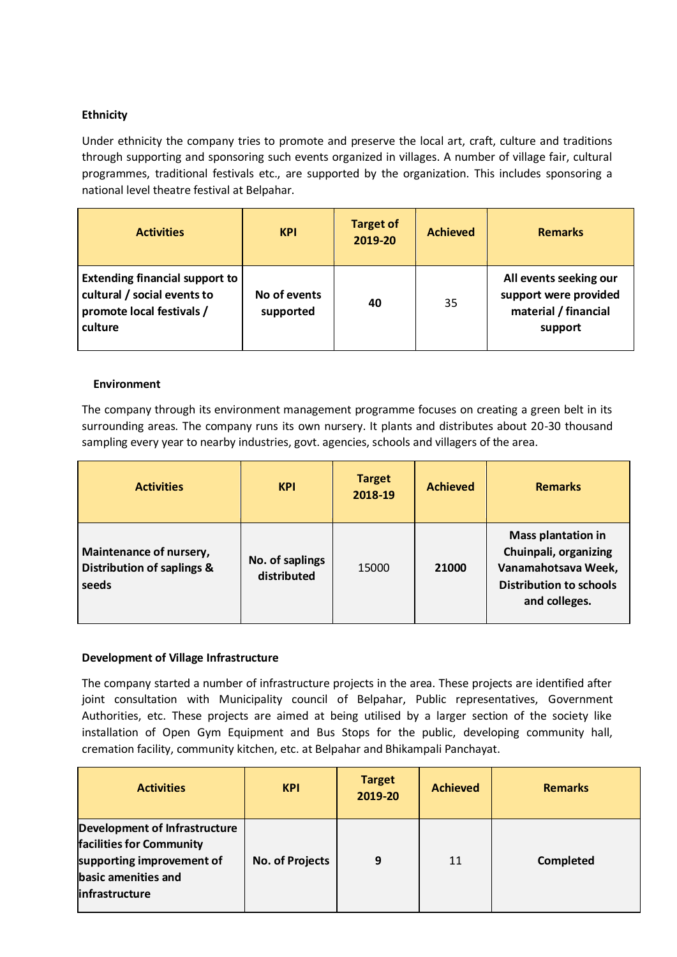# **Ethnicity**

Under ethnicity the company tries to promote and preserve the local art, craft, culture and traditions through supporting and sponsoring such events organized in villages. A number of village fair, cultural programmes, traditional festivals etc., are supported by the organization. This includes sponsoring a national level theatre festival at Belpahar.

| <b>Activities</b>                                                                                              | <b>KPI</b>                | <b>Target of</b><br>2019-20 | <b>Achieved</b> | <b>Remarks</b>                                                                     |
|----------------------------------------------------------------------------------------------------------------|---------------------------|-----------------------------|-----------------|------------------------------------------------------------------------------------|
| <b>Extending financial support to</b><br>cultural / social events to<br>promote local festivals /<br>l culture | No of events<br>supported | 40                          | 35              | All events seeking our<br>support were provided<br>material / financial<br>support |

### **Environment**

The company through its environment management programme focuses on creating a green belt in its surrounding areas. The company runs its own nursery. It plants and distributes about 20-30 thousand sampling every year to nearby industries, govt. agencies, schools and villagers of the area.

| <b>Activities</b>                                              | <b>KPI</b>                     | <b>Target</b><br>2018-19 | <b>Achieved</b> | <b>Remarks</b>                                                                                                               |
|----------------------------------------------------------------|--------------------------------|--------------------------|-----------------|------------------------------------------------------------------------------------------------------------------------------|
| Maintenance of nursery,<br>Distribution of saplings &<br>seeds | No. of saplings<br>distributed | 15000                    | 21000           | <b>Mass plantation in</b><br>Chuinpali, organizing<br>Vanamahotsava Week,<br><b>Distribution to schools</b><br>and colleges. |

# **Development of Village Infrastructure**

The company started a number of infrastructure projects in the area. These projects are identified after joint consultation with Municipality council of Belpahar, Public representatives, Government Authorities, etc. These projects are aimed at being utilised by a larger section of the society like installation of Open Gym Equipment and Bus Stops for the public, developing community hall, cremation facility, community kitchen, etc. at Belpahar and Bhikampali Panchayat.

| <b>Activities</b>                                                                                                               | <b>KPI</b>             | <b>Target</b><br>2019-20 | <b>Achieved</b> | <b>Remarks</b> |
|---------------------------------------------------------------------------------------------------------------------------------|------------------------|--------------------------|-----------------|----------------|
| Development of Infrastructure<br>facilities for Community<br>supporting improvement of<br>basic amenities and<br>infrastructure | <b>No. of Projects</b> | 9                        | 11              | Completed      |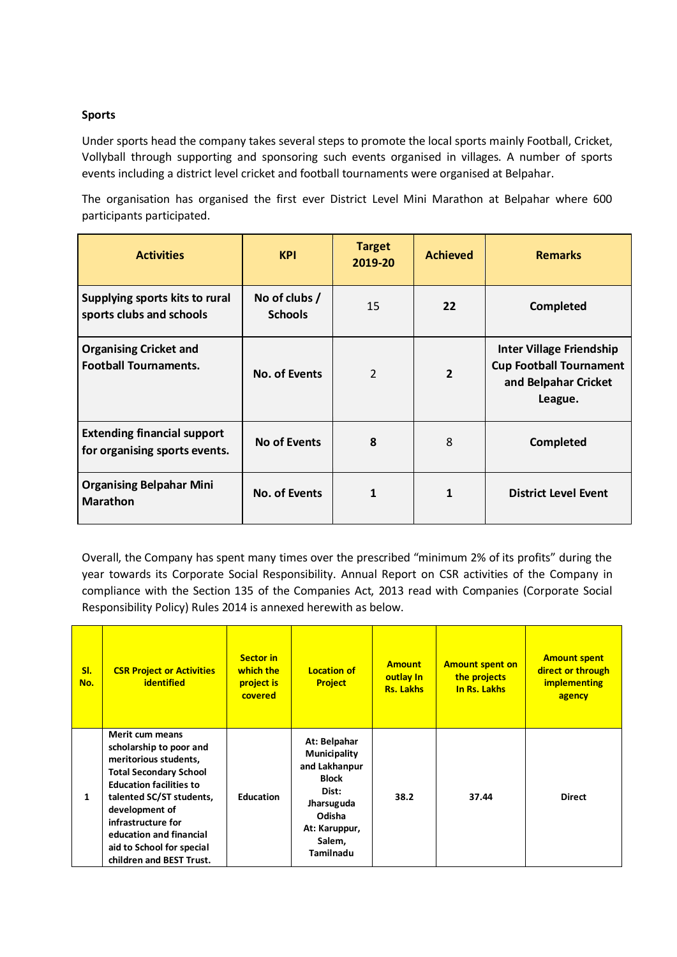### **Sports**

Under sports head the company takes several steps to promote the local sports mainly Football, Cricket, Vollyball through supporting and sponsoring such events organised in villages. A number of sports events including a district level cricket and football tournaments were organised at Belpahar.

The organisation has organised the first ever District Level Mini Marathon at Belpahar where 600 participants participated.

| <b>Activities</b>                                                   | <b>KPI</b>                      | <b>Target</b><br>2019-20 | <b>Achieved</b> | <b>Remarks</b>                                                                                       |
|---------------------------------------------------------------------|---------------------------------|--------------------------|-----------------|------------------------------------------------------------------------------------------------------|
| Supplying sports kits to rural<br>sports clubs and schools          | No of clubs /<br><b>Schools</b> | 15                       | 22              | <b>Completed</b>                                                                                     |
| <b>Organising Cricket and</b><br><b>Football Tournaments.</b>       | No. of Events                   | $\overline{\mathcal{L}}$ | $\overline{2}$  | <b>Inter Village Friendship</b><br><b>Cup Football Tournament</b><br>and Belpahar Cricket<br>League. |
| <b>Extending financial support</b><br>for organising sports events. | <b>No of Events</b>             | 8                        | 8               | <b>Completed</b>                                                                                     |
| <b>Organising Belpahar Mini</b><br><b>Marathon</b>                  | <b>No. of Events</b>            | 1                        | 1               | <b>District Level Event</b>                                                                          |

Overall, the Company has spent many times over the prescribed "minimum 2% of its profits" during the year towards its Corporate Social Responsibility. Annual Report on CSR activities of the Company in compliance with the Section 135 of the Companies Act, 2013 read with Companies (Corporate Social Responsibility Policy) Rules 2014 is annexed herewith as below.

| SI.<br>No. | <b>CSR Project or Activities</b><br><b>identified</b>                                                                                                                                                                                                                                          | <b>Sector in</b><br>which the<br>project is<br>covered | <b>Location of</b><br><b>Project</b>                                                                                                                 | <b>Amount</b><br>outlay In<br><b>Rs. Lakhs</b> | <b>Amount spent on</b><br>the projects<br>In Rs. Lakhs | <b>Amount spent</b><br>direct or through<br><b>implementing</b><br>agency |
|------------|------------------------------------------------------------------------------------------------------------------------------------------------------------------------------------------------------------------------------------------------------------------------------------------------|--------------------------------------------------------|------------------------------------------------------------------------------------------------------------------------------------------------------|------------------------------------------------|--------------------------------------------------------|---------------------------------------------------------------------------|
| 1          | Merit cum means<br>scholarship to poor and<br>meritorious students,<br><b>Total Secondary School</b><br><b>Education facilities to</b><br>talented SC/ST students,<br>development of<br>infrastructure for<br>education and financial<br>aid to School for special<br>children and BEST Trust. | <b>Education</b>                                       | At: Belpahar<br><b>Municipality</b><br>and Lakhanpur<br><b>Block</b><br>Dist:<br>Jharsuguda<br>Odisha<br>At: Karuppur,<br>Salem,<br><b>Tamilnadu</b> | 38.2                                           | 37.44                                                  | <b>Direct</b>                                                             |